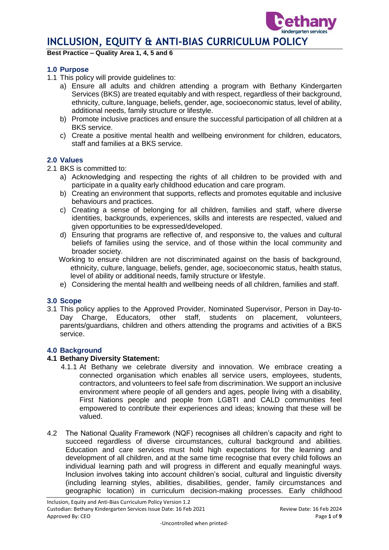**Best Practice – Quality Area 1, 4, 5 and 6**

#### **1.0 Purpose**

- 1.1 This policy will provide guidelines to:
	- a) Ensure all adults and children attending a program with Bethany Kindergarten Services (BKS) are treated equitably and with respect, regardless of their background, ethnicity, culture, language, beliefs, gender, age, socioeconomic status, level of ability, additional needs, family structure or lifestyle.
	- b) Promote inclusive practices and ensure the successful participation of all children at a BKS service.
	- c) Create a positive mental health and wellbeing environment for children, educators, staff and families at a BKS service.

#### **2.0 Values**

- 2.1 BKS is committed to:
	- a) Acknowledging and respecting the rights of all children to be provided with and participate in a quality early childhood education and care program.
	- b) Creating an environment that supports, reflects and promotes equitable and inclusive behaviours and practices.
	- c) Creating a sense of belonging for all children, families and staff, where diverse identities, backgrounds, experiences, skills and interests are respected, valued and given opportunities to be expressed/developed.
	- d) Ensuring that programs are reflective of, and responsive to, the values and cultural beliefs of families using the service, and of those within the local community and broader society.
	- Working to ensure children are not discriminated against on the basis of background, ethnicity, culture, language, beliefs, gender, age, socioeconomic status, health status, level of ability or additional needs, family structure or lifestyle.
	- e) Considering the mental health and wellbeing needs of all children, families and staff.

#### **3.0 Scope**

3.1 This policy applies to the Approved Provider, Nominated Supervisor, Person in Day-to-Day Charge, Educators, other staff, students on placement, volunteers, parents/guardians, children and others attending the programs and activities of a BKS service.

#### **4.0 Background**

#### **4.1 Bethany Diversity Statement:**

- 4.1.1 At Bethany we celebrate diversity and innovation. We embrace creating a connected organisation which enables all service users, employees, students, contractors, and volunteers to feel safe from discrimination. We support an inclusive environment where people of all genders and ages, people living with a disability, First Nations people and people from LGBTI and CALD communities feel empowered to contribute their experiences and ideas; knowing that these will be valued.
- 4.2 The National Quality Framework (NQF) recognises all children's capacity and right to succeed regardless of diverse circumstances, cultural background and abilities. Education and care services must hold high expectations for the learning and development of all children, and at the same time recognise that every child follows an individual learning path and will progress in different and equally meaningful ways. Inclusion involves taking into account children's social, cultural and linguistic diversity (including learning styles, abilities, disabilities, gender, family circumstances and geographic location) in curriculum decision-making processes. Early childhood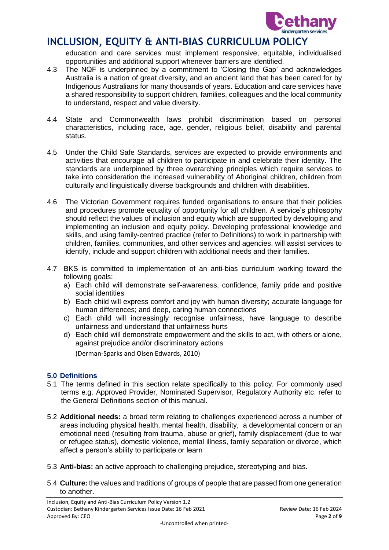

education and care services must implement responsive, equitable, individualised opportunities and additional support whenever barriers are identified.

- 4.3 The NQF is underpinned by a commitment to 'Closing the Gap' and acknowledges Australia is a nation of great diversity, and an ancient land that has been cared for by Indigenous Australians for many thousands of years. Education and care services have a shared responsibility to support children, families, colleagues and the local community to understand, respect and value diversity.
- 4.4 State and Commonwealth laws prohibit discrimination based on personal characteristics, including race, age, gender, religious belief, disability and parental status.
- 4.5 Under the Child Safe Standards, services are expected to provide environments and activities that encourage all children to participate in and celebrate their identity. The standards are underpinned by three overarching principles which require services to take into consideration the increased vulnerability of Aboriginal children, children from culturally and linguistically diverse backgrounds and children with disabilities.
- 4.6 The Victorian Government requires funded organisations to ensure that their policies and procedures promote equality of opportunity for all children. A service's philosophy should reflect the values of inclusion and equity which are supported by developing and implementing an inclusion and equity policy. Developing professional knowledge and skills, and using family-centred practice (refer to Definitions) to work in partnership with children, families, communities, and other services and agencies, will assist services to identify, include and support children with additional needs and their families.
- 4.7 BKS is committed to implementation of an anti-bias curriculum working toward the following goals:
	- a) Each child will demonstrate self-awareness, confidence, family pride and positive social identities
	- b) Each child will express comfort and joy with human diversity; accurate language for human differences; and deep, caring human connections
	- c) Each child will increasingly recognise unfairness, have language to describe unfairness and understand that unfairness hurts
	- d) Each child will demonstrate empowerment and the skills to act, with others or alone, against prejudice and/or discriminatory actions

(Derman-Sparks and Olsen Edwards, 2010)

### **5.0 Definitions**

- 5.1 The terms defined in this section relate specifically to this policy. For commonly used terms e.g. Approved Provider, Nominated Supervisor, Regulatory Authority etc. refer to the General Definitions section of this manual.
- 5.2 **Additional needs:** a broad term relating to challenges experienced across a number of areas including physical health, mental health, disability, a developmental concern or an emotional need (resulting from trauma, abuse or grief), family displacement (due to war or refugee status), domestic violence, mental illness, family separation or divorce, which affect a person's ability to participate or learn
- 5.3 **Anti-bias:** an active approach to challenging prejudice, stereotyping and bias.
- 5.4 **Culture:** the values and traditions of groups of people that are passed from one generation to another.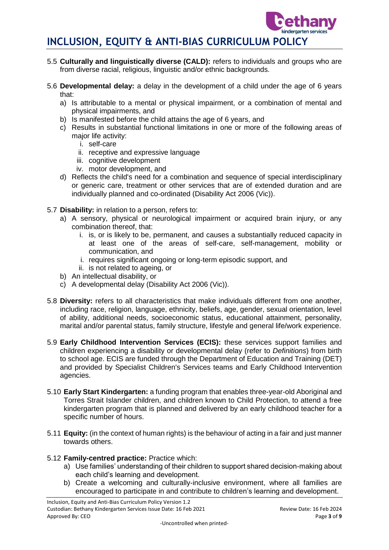

- 5.5 **Culturally and linguistically diverse (CALD):** refers to individuals and groups who are from diverse racial, religious, linguistic and/or ethnic backgrounds.
- 5.6 **Developmental delay:** a delay in the development of a child under the age of 6 years that:
	- a) Is attributable to a mental or physical impairment, or a combination of mental and physical impairments, and
	- b) Is manifested before the child attains the age of 6 years, and
	- c) Results in substantial functional limitations in one or more of the following areas of major life activity:
		- i. self-care
		- ii. receptive and expressive language
		- iii. cognitive development
		- iv. motor development, and
	- d) Reflects the child's need for a combination and sequence of special interdisciplinary or generic care, treatment or other services that are of extended duration and are individually planned and co-ordinated (Disability Act 2006 (Vic)).

### 5.7 **Disability:** in relation to a person, refers to:

- a) A sensory, physical or neurological impairment or acquired brain injury, or any combination thereof, that:
	- i. is, or is likely to be, permanent, and causes a substantially reduced capacity in at least one of the areas of self-care, self-management, mobility or communication, and
	- i. requires significant ongoing or long-term episodic support, and
	- ii. is not related to ageing, or
- b) An intellectual disability, or
- c) A developmental delay (Disability Act 2006 (Vic)).
- 5.8 **Diversity:** refers to all characteristics that make individuals different from one another, including race, religion, language, ethnicity, beliefs, age, gender, sexual orientation, level of ability, additional needs, socioeconomic status, educational attainment, personality, marital and/or parental status, family structure, lifestyle and general life/work experience.
- 5.9 **Early Childhood Intervention Services (ECIS):** these services support families and children experiencing a disability or developmental delay (refer to *Definitions*) from birth to school age. ECIS are funded through the Department of Education and Training (DET) and provided by Specialist Children's Services teams and Early Childhood Intervention agencies.
- 5.10 **Early Start Kindergarten:** a funding program that enables three-year-old Aboriginal and Torres Strait Islander children, and children known to Child Protection, to attend a free kindergarten program that is planned and delivered by an early childhood teacher for a specific number of hours.
- 5.11 **Equity:** (in the context of human rights) is the behaviour of acting in a fair and just manner towards others.

#### 5.12 **Family-centred practice:** Practice which:

- a) Use families' understanding of their children to support shared decision-making about each child's learning and development.
- b) Create a welcoming and culturally-inclusive environment, where all families are encouraged to participate in and contribute to children's learning and development.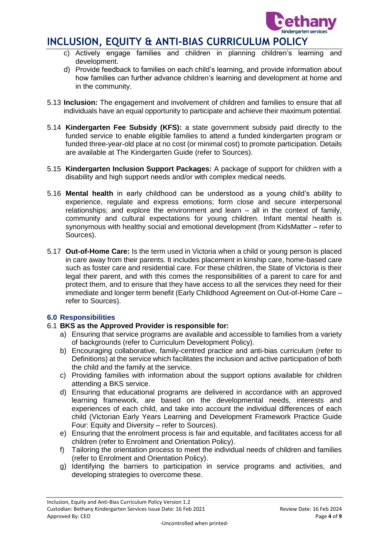

- c) Actively engage families and children in planning children's learning and development.
- d) Provide feedback to families on each child's learning, and provide information about how families can further advance children's learning and development at home and in the community.
- 5.13 **Inclusion:** The engagement and involvement of children and families to ensure that all individuals have an equal opportunity to participate and achieve their maximum potential.
- 5.14 **Kindergarten Fee Subsidy (KFS):** a state government subsidy paid directly to the funded service to enable eligible families to attend a funded kindergarten program or funded three-year-old place at no cost (or minimal cost) to promote participation. Details are available at The Kindergarten Guide (refer to Sources).
- 5.15 **Kindergarten Inclusion Support Packages:** A package of support for children with a disability and high support needs and/or with complex medical needs.
- 5.16 **Mental health** in early childhood can be understood as a young child's ability to experience, regulate and express emotions; form close and secure interpersonal relationships; and explore the environment and learn – all in the context of family, community and cultural expectations for young children. Infant mental health is synonymous with healthy social and emotional development (from KidsMatter – refer to Sources).
- 5.17 **Out-of-Home Care:** Is the term used in Victoria when a child or young person is placed in care away from their parents. It includes placement in kinship care, home-based care such as foster care and residential care. For these children, the State of Victoria is their legal their parent, and with this comes the responsibilities of a parent to care for and protect them, and to ensure that they have access to all the services they need for their immediate and longer term benefit (Early Childhood Agreement on Out-of-Home Care – refer to Sources).

#### **6.0 Responsibilities**

#### 6.1 **BKS as the Approved Provider is responsible for:**

- a) Ensuring that service programs are available and accessible to families from a variety of backgrounds (refer to Curriculum Development Policy).
- b) Encouraging collaborative, family-centred practice and anti-bias curriculum (refer to Definitions) at the service which facilitates the inclusion and active participation of both the child and the family at the service.
- c) Providing families with information about the support options available for children attending a BKS service.
- d) Ensuring that educational programs are delivered in accordance with an approved learning framework, are based on the developmental needs, interests and experiences of each child, and take into account the individual differences of each child (Victorian Early Years Learning and Development Framework Practice Guide Four: Equity and Diversity – refer to Sources).
- e) Ensuring that the enrolment process is fair and equitable, and facilitates access for all children (refer to Enrolment and Orientation Policy).
- f) Tailoring the orientation process to meet the individual needs of children and families (refer to Enrolment and Orientation Policy).
- g) Identifying the barriers to participation in service programs and activities, and developing strategies to overcome these.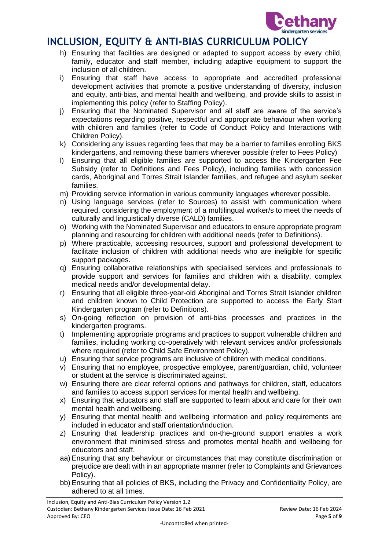

- h) Ensuring that facilities are designed or adapted to support access by every child, family, educator and staff member, including adaptive equipment to support the inclusion of all children.
- i) Ensuring that staff have access to appropriate and accredited professional development activities that promote a positive understanding of diversity, inclusion and equity, anti-bias, and mental health and wellbeing, and provide skills to assist in implementing this policy (refer to Staffing Policy).
- j) Ensuring that the Nominated Supervisor and all staff are aware of the service's expectations regarding positive, respectful and appropriate behaviour when working with children and families (refer to Code of Conduct Policy and Interactions with Children Policy).
- k) Considering any issues regarding fees that may be a barrier to families enrolling BKS kindergartens, and removing these barriers wherever possible (refer to Fees Policy)
- l) Ensuring that all eligible families are supported to access the Kindergarten Fee Subsidy (refer to Definitions and Fees Policy), including families with concession cards, Aboriginal and Torres Strait Islander families, and refugee and asylum seeker families.
- m) Providing service information in various community languages wherever possible.
- n) Using language services (refer to Sources) to assist with communication where required, considering the employment of a multilingual worker/s to meet the needs of culturally and linguistically diverse (CALD) families.
- o) Working with the Nominated Supervisor and educators to ensure appropriate program planning and resourcing for children with additional needs (refer to Definitions).
- p) Where practicable, accessing resources, support and professional development to facilitate inclusion of children with additional needs who are ineligible for specific support packages.
- q) Ensuring collaborative relationships with specialised services and professionals to provide support and services for families and children with a disability, complex medical needs and/or developmental delay.
- r) Ensuring that all eligible three-year-old Aboriginal and Torres Strait Islander children and children known to Child Protection are supported to access the Early Start Kindergarten program (refer to Definitions).
- s) On-going reflection on provision of anti-bias processes and practices in the kindergarten programs.
- t) Implementing appropriate programs and practices to support vulnerable children and families, including working co-operatively with relevant services and/or professionals where required (refer to Child Safe Environment Policy).
- u) Ensuring that service programs are inclusive of children with medical conditions.
- v) Ensuring that no employee, prospective employee, parent/guardian, child, volunteer or student at the service is discriminated against.
- w) Ensuring there are clear referral options and pathways for children, staff, educators and families to access support services for mental health and wellbeing.
- x) Ensuring that educators and staff are supported to learn about and care for their own mental health and wellbeing.
- y) Ensuring that mental health and wellbeing information and policy requirements are included in educator and staff orientation/induction.
- z) Ensuring that leadership practices and on-the-ground support enables a work environment that minimised stress and promotes mental health and wellbeing for educators and staff.
- aa) Ensuring that any behaviour or circumstances that may constitute discrimination or prejudice are dealt with in an appropriate manner (refer to Complaints and Grievances Policy).
- bb) Ensuring that all policies of BKS, including the Privacy and Confidentiality Policy, are adhered to at all times.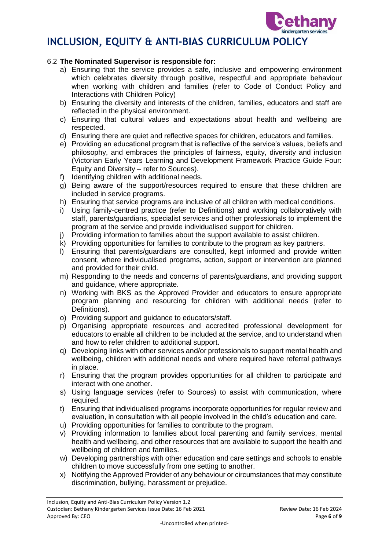### 6.2 **The Nominated Supervisor is responsible for:**

- a) Ensuring that the service provides a safe, inclusive and empowering environment which celebrates diversity through positive, respectful and appropriate behaviour when working with children and families (refer to Code of Conduct Policy and Interactions with Children Policy)
- b) Ensuring the diversity and interests of the children, families, educators and staff are reflected in the physical environment.
- c) Ensuring that cultural values and expectations about health and wellbeing are respected.
- d) Ensuring there are quiet and reflective spaces for children, educators and families.
- e) Providing an educational program that is reflective of the service's values, beliefs and philosophy, and embraces the principles of fairness, equity, diversity and inclusion (Victorian Early Years Learning and Development Framework Practice Guide Four: Equity and Diversity – refer to Sources).
- f) Identifying children with additional needs.
- g) Being aware of the support/resources required to ensure that these children are included in service programs.
- h) Ensuring that service programs are inclusive of all children with medical conditions.
- i) Using family-centred practice (refer to Definitions) and working collaboratively with staff, parents/guardians, specialist services and other professionals to implement the program at the service and provide individualised support for children.
- j) Providing information to families about the support available to assist children.
- k) Providing opportunities for families to contribute to the program as key partners.
- l) Ensuring that parents/guardians are consulted, kept informed and provide written consent, where individualised programs, action, support or intervention are planned and provided for their child.
- m) Responding to the needs and concerns of parents/guardians, and providing support and guidance, where appropriate.
- n) Working with BKS as the Approved Provider and educators to ensure appropriate program planning and resourcing for children with additional needs (refer to Definitions).
- o) Providing support and guidance to educators/staff.
- p) Organising appropriate resources and accredited professional development for educators to enable all children to be included at the service, and to understand when and how to refer children to additional support.
- q) Developing links with other services and/or professionals to support mental health and wellbeing, children with additional needs and where required have referral pathways in place.
- r) Ensuring that the program provides opportunities for all children to participate and interact with one another.
- s) Using language services (refer to Sources) to assist with communication, where required.
- t) Ensuring that individualised programs incorporate opportunities for regular review and evaluation, in consultation with all people involved in the child's education and care.
- u) Providing opportunities for families to contribute to the program.
- v) Providing information to families about local parenting and family services, mental health and wellbeing, and other resources that are available to support the health and wellbeing of children and families.
- w) Developing partnerships with other education and care settings and schools to enable children to move successfully from one setting to another.
- x) Notifying the Approved Provider of any behaviour or circumstances that may constitute discrimination, bullying, harassment or prejudice.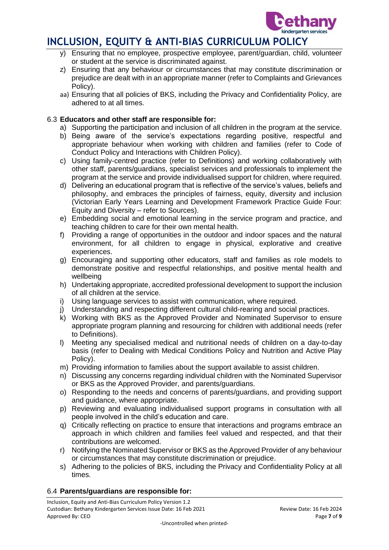

- y) Ensuring that no employee, prospective employee, parent/guardian, child, volunteer or student at the service is discriminated against.
- z) Ensuring that any behaviour or circumstances that may constitute discrimination or prejudice are dealt with in an appropriate manner (refer to Complaints and Grievances Policy).
- aa) Ensuring that all policies of BKS, including the Privacy and Confidentiality Policy, are adhered to at all times.

### 6.3 **Educators and other staff are responsible for:**

- a) Supporting the participation and inclusion of all children in the program at the service.
- b) Being aware of the service's expectations regarding positive, respectful and appropriate behaviour when working with children and families (refer to Code of Conduct Policy and Interactions with Children Policy).
- c) Using family-centred practice (refer to Definitions) and working collaboratively with other staff, parents/guardians, specialist services and professionals to implement the program at the service and provide individualised support for children, where required.
- d) Delivering an educational program that is reflective of the service's values, beliefs and philosophy, and embraces the principles of fairness, equity, diversity and inclusion (Victorian Early Years Learning and Development Framework Practice Guide Four: Equity and Diversity – refer to Sources).
- e) Embedding social and emotional learning in the service program and practice, and teaching children to care for their own mental health.
- f) Providing a range of opportunities in the outdoor and indoor spaces and the natural environment, for all children to engage in physical, explorative and creative experiences.
- g) Encouraging and supporting other educators, staff and families as role models to demonstrate positive and respectful relationships, and positive mental health and wellbeing
- h) Undertaking appropriate, accredited professional development to support the inclusion of all children at the service.
- i) Using language services to assist with communication, where required.
- j) Understanding and respecting different cultural child-rearing and social practices.
- k) Working with BKS as the Approved Provider and Nominated Supervisor to ensure appropriate program planning and resourcing for children with additional needs (refer to Definitions).
- l) Meeting any specialised medical and nutritional needs of children on a day-to-day basis (refer to Dealing with Medical Conditions Policy and Nutrition and Active Play Policy).
- m) Providing information to families about the support available to assist children.
- n) Discussing any concerns regarding individual children with the Nominated Supervisor or BKS as the Approved Provider, and parents/guardians.
- o) Responding to the needs and concerns of parents/guardians, and providing support and guidance, where appropriate.
- p) Reviewing and evaluating individualised support programs in consultation with all people involved in the child's education and care.
- q) Critically reflecting on practice to ensure that interactions and programs embrace an approach in which children and families feel valued and respected, and that their contributions are welcomed.
- r) Notifying the Nominated Supervisor or BKS as the Approved Provider of any behaviour or circumstances that may constitute discrimination or prejudice.
- s) Adhering to the policies of BKS, including the Privacy and Confidentiality Policy at all times.

#### 6.4 **Parents/guardians are responsible for:**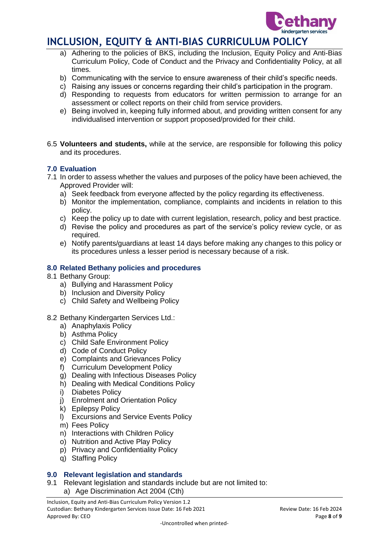

- a) Adhering to the policies of BKS, including the Inclusion, Equity Policy and Anti-Bias Curriculum Policy, Code of Conduct and the Privacy and Confidentiality Policy, at all times.
- b) Communicating with the service to ensure awareness of their child's specific needs.
- c) Raising any issues or concerns regarding their child's participation in the program.
- d) Responding to requests from educators for written permission to arrange for an assessment or collect reports on their child from service providers.
- e) Being involved in, keeping fully informed about, and providing written consent for any individualised intervention or support proposed/provided for their child.
- 6.5 **Volunteers and students,** while at the service, are responsible for following this policy and its procedures.

#### **7.0 Evaluation**

- 7.1 In order to assess whether the values and purposes of the policy have been achieved, the Approved Provider will:
	- a) Seek feedback from everyone affected by the policy regarding its effectiveness.
	- b) Monitor the implementation, compliance, complaints and incidents in relation to this policy.
	- c) Keep the policy up to date with current legislation, research, policy and best practice.
	- d) Revise the policy and procedures as part of the service's policy review cycle, or as required.
	- e) Notify parents/guardians at least 14 days before making any changes to this policy or its procedures unless a lesser period is necessary because of a risk.

### **8.0 Related Bethany policies and procedures**

- 8.1 Bethany Group:
	- a) Bullying and Harassment Policy
	- b) Inclusion and Diversity Policy
	- c) Child Safety and Wellbeing Policy
- 8.2 Bethany Kindergarten Services Ltd.:
	- a) Anaphylaxis Policy
	- b) Asthma Policy
	- c) Child Safe Environment Policy
	- d) Code of Conduct Policy
	- e) Complaints and Grievances Policy
	- f) Curriculum Development Policy
	- g) Dealing with Infectious Diseases Policy
	- h) Dealing with Medical Conditions Policy
	- i) Diabetes Policy
	- j) Enrolment and Orientation Policy
	- k) Epilepsy Policy
	- l) Excursions and Service Events Policy
	- m) Fees Policy
	- n) Interactions with Children Policy
	- o) Nutrition and Active Play Policy
	- p) Privacy and Confidentiality Policy
	- q) Staffing Policy

#### **9.0 Relevant legislation and standards**

9.1 Relevant legislation and standards include but are not limited to: a) Age Discrimination Act 2004 (Cth)

Inclusion, Equity and Anti-Bias Curriculum Policy Version 1.2 Custodian: Bethany Kindergarten Services Issue Date: 16 Feb 2021 Review Date: 16 Feb 2024 Approved By: CEO **Page 8** of **9**